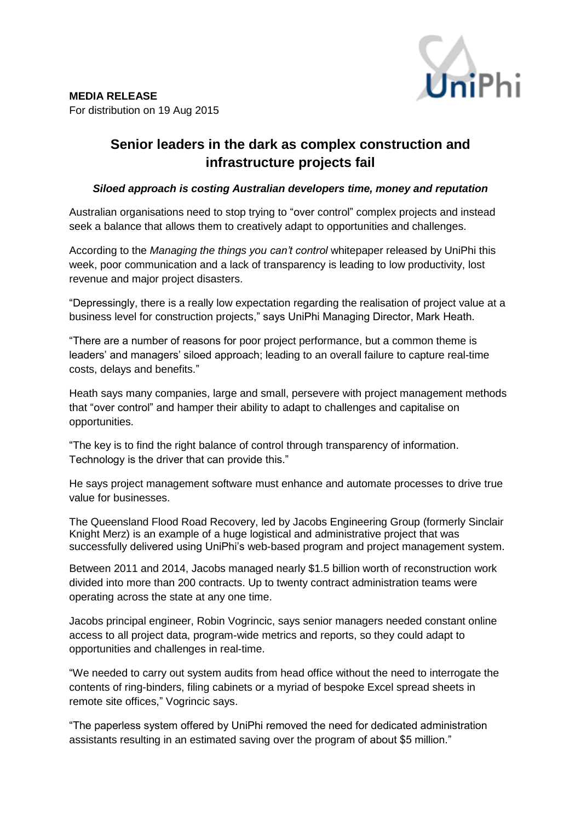

## **Senior leaders in the dark as complex construction and infrastructure projects fail**

## *Siloed approach is costing Australian developers time, money and reputation*

Australian organisations need to stop trying to "over control" complex projects and instead seek a balance that allows them to creatively adapt to opportunities and challenges.

According to the *Managing the things you can't control* whitepaper released by UniPhi this week, poor communication and a lack of transparency is leading to low productivity, lost revenue and major project disasters.

"Depressingly, there is a really low expectation regarding the realisation of project value at a business level for construction projects," says UniPhi Managing Director, Mark Heath.

"There are a number of reasons for poor project performance, but a common theme is leaders' and managers' siloed approach; leading to an overall failure to capture real-time costs, delays and benefits."

Heath says many companies, large and small, persevere with project management methods that "over control" and hamper their ability to adapt to challenges and capitalise on opportunities.

"The key is to find the right balance of control through transparency of information. Technology is the driver that can provide this."

He says project management software must enhance and automate processes to drive true value for businesses.

The Queensland Flood Road Recovery, led by Jacobs Engineering Group (formerly Sinclair Knight Merz) is an example of a huge logistical and administrative project that was successfully delivered using UniPhi's web-based program and project management system.

Between 2011 and 2014, Jacobs managed nearly \$1.5 billion worth of reconstruction work divided into more than 200 contracts. Up to twenty contract administration teams were operating across the state at any one time.

Jacobs principal engineer, Robin Vogrincic, says senior managers needed constant online access to all project data, program-wide metrics and reports, so they could adapt to opportunities and challenges in real-time.

"We needed to carry out system audits from head office without the need to interrogate the contents of ring-binders, filing cabinets or a myriad of bespoke Excel spread sheets in remote site offices," Vogrincic says.

"The paperless system offered by UniPhi removed the need for dedicated administration assistants resulting in an estimated saving over the program of about \$5 million."